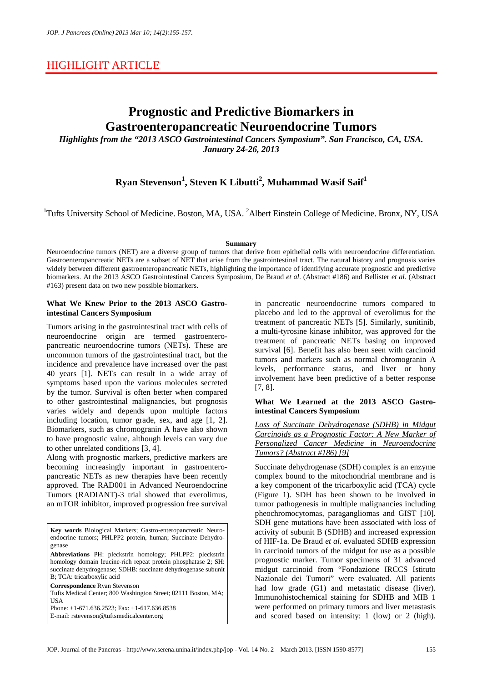## HIGHLIGHT ARTICLE

# **Prognostic and Predictive Biomarkers in Gastroenteropancreatic Neuroendocrine Tumors**

*Highlights from the "2013 ASCO Gastrointestinal Cancers Symposium". San Francisco, CA, USA. January 24-26, 2013*

## **Ryan Stevenson<sup>1</sup> , Steven K Libutti<sup>2</sup> , Muhammad Wasif Saif<sup>1</sup>**

<sup>1</sup>Tufts University School of Medicine. Boston, MA, USA. <sup>2</sup>Albert Einstein College of Medicine. Bronx, NY, USA

### **Summary**

Neuroendocrine tumors (NET) are a diverse group of tumors that derive from epithelial cells with neuroendocrine differentiation. Gastroenteropancreatic NETs are a subset of NET that arise from the gastrointestinal tract. The natural history and prognosis varies widely between different gastroenteropancreatic NETs, highlighting the importance of identifying accurate prognostic and predictive biomarkers. At the 2013 ASCO Gastrointestinal Cancers Symposium, De Braud *et al*. (Abstract #186) and Bellister *et al*. (Abstract #163) present data on two new possible biomarkers.

### **What We Knew Prior to the 2013 ASCO Gastrointestinal Cancers Symposium**

Tumors arising in the gastrointestinal tract with cells of neuroendocrine origin are termed gastroenteropancreatic neuroendocrine tumors (NETs). These are uncommon tumors of the gastrointestinal tract, but the incidence and prevalence have increased over the past 40 years [1]. NETs can result in a wide array of symptoms based upon the various molecules secreted by the tumor. Survival is often better when compared to other gastrointestinal malignancies, but prognosis varies widely and depends upon multiple factors including location, tumor grade, sex, and age [1, 2]. Biomarkers, such as chromogranin A have also shown to have prognostic value, although levels can vary due to other unrelated conditions [3, 4].

Along with prognostic markers, predictive markers are becoming increasingly important in gastroenteropancreatic NETs as new therapies have been recently approved. The RAD001 in Advanced Neuroendocrine Tumors (RADIANT)-3 trial showed that everolimus, an mTOR inhibitor, improved progression free survival

**Key words** Biological Markers; Gastro-enteropancreatic Neuroendocrine tumors; PHLPP2 protein, human; Succinate Dehydrogenase

**Abbreviations** PH: pleckstrin homology; PHLPP2: pleckstrin homology domain leucine-rich repeat protein phosphatase 2; SH: succinate dehydrogenase; SDHB: succinate dehydrogenase subunit B; TCA: tricarboxylic acid

**Correspondence** Ryan Stevenson

Tufts Medical Center; 800 Washington Street; 02111 Boston, MA; **USA** 

Phone: +1-671.636.2523; Fax: +1-617.636.8538

E-mail: rstevenson@tuftsmedicalcenter.org

in pancreatic neuroendocrine tumors compared to placebo and led to the approval of everolimus for the treatment of pancreatic NETs [5]. Similarly, sunitinib, a multi-tyrosine kinase inhibitor, was approved for the treatment of pancreatic NETs basing on improved survival [6]. Benefit has also been seen with carcinoid tumors and markers such as normal chromogranin A levels, performance status, and liver or bony involvement have been predictive of a better response [7, 8].

### **What We Learned at the 2013 ASCO Gastrointestinal Cancers Symposium**

*Loss of Succinate Dehydrogenase (SDHB) in Midgut Carcinoids as a Prognostic Factor: A New Marker of Personalized Cancer Medicine in Neuroendocrine Tumors? (Abstract #186) [9]*

Succinate dehydrogenase (SDH) complex is an enzyme complex bound to the mitochondrial membrane and is a key component of the tricarboxylic acid (TCA) cycle (Figure 1). SDH has been shown to be involved in tumor pathogenesis in multiple malignancies including pheochromocytomas, paragangliomas and GIST [10]. SDH gene mutations have been associated with loss of activity of subunit B (SDHB) and increased expression of HIF-1a. De Braud *et al*. evaluated SDHB expression in carcinoid tumors of the midgut for use as a possible prognostic marker. Tumor specimens of 31 advanced midgut carcinoid from "Fondazione IRCCS Istituto Nazionale dei Tumori" were evaluated. All patients had low grade (G1) and metastatic disease (liver). Immunohistochemical staining for SDHB and MIB 1 were performed on primary tumors and liver metastasis and scored based on intensity: 1 (low) or 2 (high).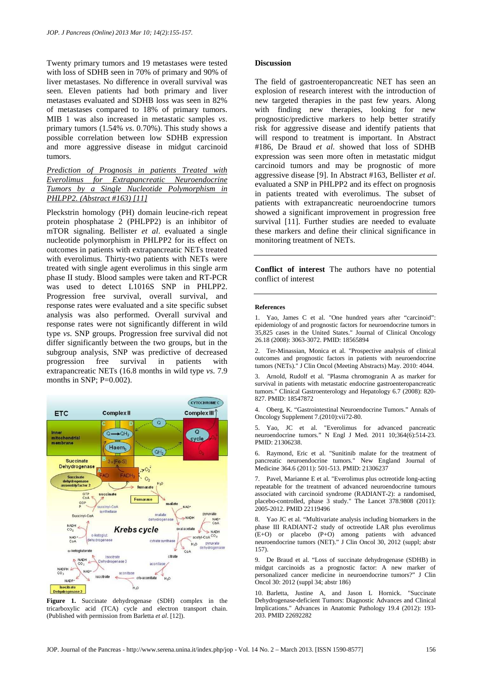Twenty primary tumors and 19 metastases were tested with loss of SDHB seen in 70% of primary and 90% of liver metastases. No difference in overall survival was seen. Eleven patients had both primary and liver metastases evaluated and SDHB loss was seen in 82% of metastases compared to 18% of primary tumors. MIB 1 was also increased in metastatic samples *vs*. primary tumors (1.54% *vs*. 0.70%). This study shows a possible correlation between low SDHB expression and more aggressive disease in midgut carcinoid tumors.

*Prediction of Prognosis in patients Treated with Everolimus for Extrapancreatic Neuroendocrine Tumors by a Single Nucleotide Polymorphism in PHLPP2. (Abstract #163) [11]*

Pleckstrin homology (PH) domain leucine-rich repeat protein phosphatase 2 (PHLPP2) is an inhibitor of mTOR signaling. Bellister *et al*. evaluated a single nucleotide polymorphism in PHLPP2 for its effect on outcomes in patients with extrapancreatic NETs treated with everolimus. Thirty-two patients with NETs were treated with single agent everolimus in this single arm phase II study. Blood samples were taken and RT-PCR was used to detect L1016S SNP in PHLPP2. Progression free survival, overall survival, and response rates were evaluated and a site specific subset analysis was also performed. Overall survival and response rates were not significantly different in wild type *vs*. SNP groups. Progression free survival did not differ significantly between the two groups, but in the subgroup analysis, SNP was predictive of decreased progression free survival in patients with extrapancreatic NETs (16.8 months in wild type *vs*. 7.9 months in SNP:  $P=0.002$ ).



**Figure 1.** Succinate dehydrogenase (SDH) complex in the tricarboxylic acid (TCA) cycle and electron transport chain. (Published with permission from Barletta *et al*. [12]).

#### **Discussion**

The field of gastroenteropancreatic NET has seen an explosion of research interest with the introduction of new targeted therapies in the past few years. Along with finding new therapies, looking for new prognostic/predictive markers to help better stratify risk for aggressive disease and identify patients that will respond to treatment is important. In Abstract #186, De Braud *et al*. showed that loss of SDHB expression was seen more often in metastatic midgut carcinoid tumors and may be prognostic of more aggressive disease [9]. In Abstract #163, Bellister *et al*. evaluated a SNP in PHLPP2 and its effect on prognosis in patients treated with everolimus. The subset of patients with extrapancreatic neuroendocrine tumors showed a significant improvement in progression free survival [11]. Further studies are needed to evaluate these markers and define their clinical significance in monitoring treatment of NETs.

**Conflict of interest** The authors have no potential conflict of interest

#### **References**

1. Yao, James C et al. "One hundred years after "carcinoid": epidemiology of and prognostic factors for neuroendocrine tumors in 35,825 cases in the United States." Journal of Clinical Oncology 26.18 (2008): 3063-3072. PMID: 18565894

2. Ter-Minassian, Monica et al. "Prospective analysis of clinical outcomes and prognostic factors in patients with neuroendocrine tumors (NETs)." J Clin Oncol (Meeting Abstracts) May. 2010: 4044.

3. Arnold, Rudolf et al. "Plasma chromogranin A as marker for survival in patients with metastatic endocrine gastroenteropancreatic tumors." Clinical Gastroenterology and Hepatology 6.7 (2008): 820- 827. PMID: 18547872

4. Oberg, K. "Gastrointestinal Neuroendocrine Tumors." Annals of Oncology Supplement 7.(2010):vii72-80.

5. Yao, JC et al. "Everolimus for advanced pancreatic neuroendocrine tumors." N Engl J Med. 2011 10;364(6):514-23. PMID: 21306238.

6. Raymond, Eric et al. "Sunitinib malate for the treatment of pancreatic neuroendocrine tumors." New England Journal of Medicine 364.6 (2011): 501-513. PMID: 21306237

7. Pavel, Marianne E et al. "Everolimus plus octreotide long-acting repeatable for the treatment of advanced neuroendocrine tumours associated with carcinoid syndrome (RADIANT-2): a randomised, placebo-controlled, phase 3 study." The Lancet 378.9808 (2011): 2005-2012. PMID 22119496

8. Yao JC et al. "Multivariate analysis including biomarkers in the phase III RADIANT-2 study of octreotide LAR plus everolimus (E+O) or placebo (P+O) among patients with advanced neuroendocrine tumors (NET)." J Clin Oncol 30, 2012 (suppl; abstr 157).

9. De Braud et al. "Loss of succinate dehydrogenase (SDHB) in midgut carcinoids as a prognostic factor: A new marker of personalized cancer medicine in neuroendocrine tumors?" J Clin Oncol 30: 2012 (suppl 34; abstr 186)

10. Barletta, Justine A, and Jason L Hornick. "Succinate Dehydrogenase-deficient Tumors: Diagnostic Advances and Clinical Implications." Advances in Anatomic Pathology 19.4 (2012): 193- 203. PMID 22692282